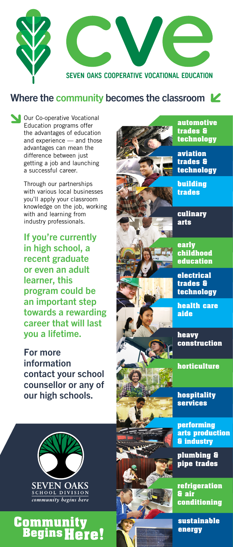**Our Co-operative Vocational** Education programs offer the advantages of education and experience — and those advantages can mean the difference between just getting a job and launching a successful career.

Through our partnerships with various local businesses you'll apply your classroom knowledge on the job, working with and learning from industry professionals.

# **Community Begins Here!**

If you're currently in high school, a recent graduate or even an adult learner, this program could be an important step towards a rewarding career that will last you a lifetime.

For more information contact your school counsellor or any of our high schools.



### Where the community becomes the classroom  $\mathbf{\mathcal{L}}$

**automotive technology**

**technology**

**childhood education**

**electrical technology**

**health care** 



**construction**

**horticulture**

**hospitality** 



#### **SEVEN OAKS** SCHOOL DIVISION community begins here

**performing arts production & industry**

**plumbing & pipe trades**

**refrigeration conditioning**

**sustainable**